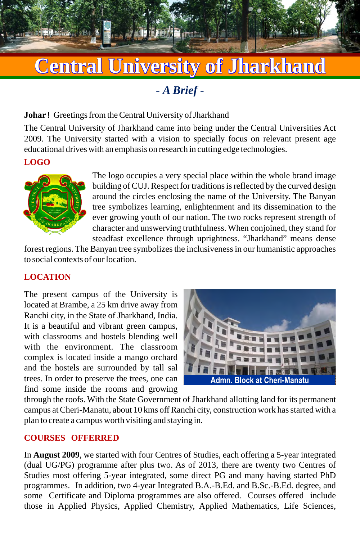# **Central University of Jharkhand**

**-** *A Brief -*

#### **Johar !** Greetings from the Central University of Jharkhand

The Central University of Jharkhand came into being under the Central Universities Act 2009. The University started with a vision to specially focus on relevant present age educational drives with an emphasis on research in cutting edge technologies.

#### **LOGO**



The logo occupies a very special place within the whole brand image building of CUJ. Respect for traditions is reflected by the curved design around the circles enclosing the name of the University. The Banyan tree symbolizes learning, enlightenment and its dissemination to the ever growing youth of our nation. The two rocks represent strength of character and unswerving truthfulness. When conjoined, they stand for steadfast excellence through uprightness. "Jharkhand" means dense

forest regions. The Banyan tree symbolizes the inclusiveness in our humanistic approaches to social contexts of our location.

## **LOCATION**

The present campus of the University is located at Brambe, a 25 km drive away from Ranchi city, in the State of Jharkhand, India. It is a beautiful and vibrant green campus, with classrooms and hostels blending well with the environment. The classroom complex is located inside a mango orchard and the hostels are surrounded by tall sal trees. In order to preserve the trees, one can find some inside the rooms and growing



through the roofs. With the State Government of Jharkhand allotting land for its permanent campus at Cheri-Manatu, about 10 kms off Ranchi city, construction work has started with a plan to create a campus worth visiting and staying in.

## **COURSES OFFERRED**

In **August 2009**, we started with four Centres of Studies, each offering a 5-year integrated (dual UG/PG) programme after plus two. As of 2013, there are twenty two Centres of Studies most offering 5-year integrated, some direct PG and many having started PhD programmes. In addition, two 4-year Integrated B.A.-B.Ed. and B.Sc.-B.Ed. degree, and some Certificate and Diploma programmes are also offered. Courses offered include those in Applied Physics, Applied Chemistry, Applied Mathematics, Life Sciences,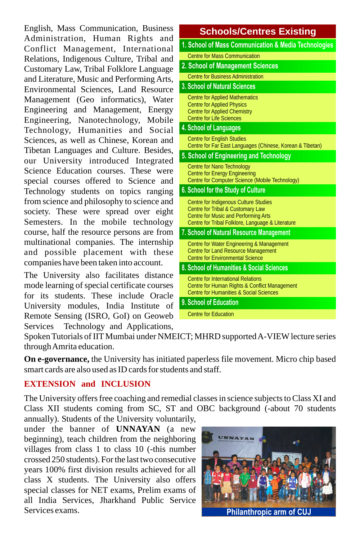English, Mass Communication, Business Administration, Human Rights and Conflict Management, International Relations, Indigenous Culture, Tribal and Customary Law, Tribal Folklore Language and Literature, Music and Performing Arts, Environmental Sciences, Land Resource Management (Geo informatics), Water Engineering and Management, Energy Engineering, Nanotechnology, Mobile Technology, Humanities and Social Sciences, as well as Chinese, Korean and Tibetan Languages and Culture. Besides, our University introduced Integrated Science Education courses. These were special courses offered to Science and Technology students on topics ranging from science and philosophy to science and society. These were spread over eight Semesters. In the mobile technology course, half the resource persons are from multinational companies. The internship and possible placement with these companies have been taken into account.

The University also facilitates distance mode learning of special certificate courses for its students. These include Oracle University modules, India Institute of Remote Sensing (ISRO, GoI) on Geoweb Services Technology and Applications,

#### **Schools/Centres Existing 1. School of Mass Communication & Media Technologies** Centre for Mass Communication **2. School of Management Sciences** Centre for Business Administration **3. School of Natural Sciences** Centre for Applied Mathematics Centre for Applied Physics Centre for Applied Chemistry Centre for Life Sciences **4. School of Languages** Centre for English Studies Centre for Far East Languages (Chinese, Korean & Tibetan) **5. School of Engineering and Technology** Centre for Nano Technology Centre for Energy Engineering Centre for Computer Science (Mobile Technology) **6. School for the Study of Culture** Centre for Indigenous Culture Studies Centre for Tribal & Customary Law Centre for Music and Performing Arts Centre for Tribal Folklore, Language & Literature **8. School of Humanities & Social Sciences 9. School of Education 7. School of Natural Resource Management** Centre for International Relations Centre for Human Rights & Conflict Management Centre for Humanities & Social Sciences Centre for Education Centre for Water Engineering & Management Centre for Land Resource Management Centre for Environmental Science

Spoken Tutorials of IIT Mumbai under NMEICT; MHRD supported A-VIEW lecture series through Amrita education.

**On e-governance,** the University has initiated paperless file movement. Micro chip based smart cards are also used as ID cards for students and staff.

## **EXTENSION and INCLUSION**

The University offers free coaching and remedial classes in science subjects to Class XI and Class XII students coming from SC, ST and OBC background (-about 70 students

annually). Students of the University voluntarily, under the banner of **UNNAYAN** (a new beginning), teach children from the neighboring villages from class 1 to class 10 (-this number crossed 250 students). For the last two consecutive years 100% first division results achieved for all class X students. The University also offers special classes for NET exams, Prelim exams of all India Services, Jharkhand Public Service Services exams.



Philanthropic arm of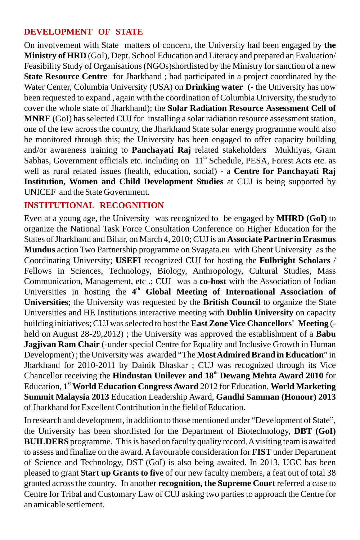# **DEVELOPMENT OF STATE**

On involvement with State matters of concern, the University had been engaged by **the Ministry of HRD** (GoI), Dept. School Education and Literacy and prepared an Evaluation/ Feasibility Study of Organisations (NGOs)shortlisted by the Ministry for sanction of a new **State Resource Centre** for Jharkhand ; had participated in a project coordinated by the Water Center, Columbia University (USA) on **Drinking water** (- the University has now been requested to expand , again with the coordination of Columbia University, the study to cover the whole state of Jharkhand); the **Solar Radiation Resource Assessment Cell of MNRE** (GoI) has selected CUJ for installing a solar radiation resource assessment station, one of the few across the country, the Jharkhand State solar energy programme would also be monitored through this; the University has been engaged to offer capacity building and/or awareness training to **Panchayati Raj** related stakeholders Mukhiyas, Gram Sabhas, Government officials etc. including on  $11<sup>th</sup>$  Schedule, PESA, Forest Acts etc. as well as rural related issues (health, education, social) - a **Centre for Panchayati Raj Institution, Women and Child Development Studies** at CUJ is being supported by UNICEF and the State Government.

## **INSTITUTIONAL RECOGNITION**

Even at a young age, the University was recognized to be engaged by **MHRD (GoI)** to organize the National Task Force Consultation Conference on Higher Education for the States of Jharkhand and Bihar, on March 4, 2010; CUJ is an **Associate Partner in Erasmus Mundus** action Two Partnership programme on Svagata.eu with Ghent University as the Coordinating University; **USEFI** recognized CUJ for hosting the **Fulbright Scholars** / Fellows in Sciences, Technology, Biology, Anthropology, Cultural Studies, Mass Communication, Management, etc .; CUJ was a **co-host** with the Association of Indian Universities in hosting the 4<sup>th</sup> Global Meeting of International Association of **Universities**; the University was requested by the **British Council** to organize the State Universities and HE Institutions interactive meeting with **Dublin University** on capacity building initiatives; CUJ was selected to host the **East Zone Vice Chancellors' Meeting** ( held on August 28-29,2012) ; the University was approved the establishment of a **Babu Jagjivan Ram Chair** (-under special Centre for Equality and Inclusive Growth in Human Development) ; the University was awarded "The **Most Admired Brand in Education**" in Jharkhand for 2010-2011 by Dainik Bhaskar ; CUJ was recognized through its Vice Chancellor receiving the **Hindustan Unilever and 18<sup>th</sup> Dewang Mehta Award 2010** for **st** Education, **1 World Education Congress Award** 2012 for Education, **World Marketing Summit Malaysia 2013** Education Leadership Award, **Gandhi Samman (Honour) 2013** of Jharkhand for Excellent Contribution in the field of Education.

In research and development, in addition to those mentioned under "Development of State", the University has been shortlisted for the Department of Biotechnology, **DBT (GoI) BUILDERS** programme. This is based on faculty quality record. A visiting team is awaited to assess and finalize on the award. A favourable consideration for **FIST** under Department of Science and Technology, DST (GoI) is also being awaited. In 2013, UGC has been pleased to grant **Start up Grants to five** of our new faculty members, a feat out of total 38 granted across the country. In another **recognition, the Supreme Court** referred a case to Centre for Tribal and Customary Law of CUJ asking two parties to approach the Centre for an amicable settlement.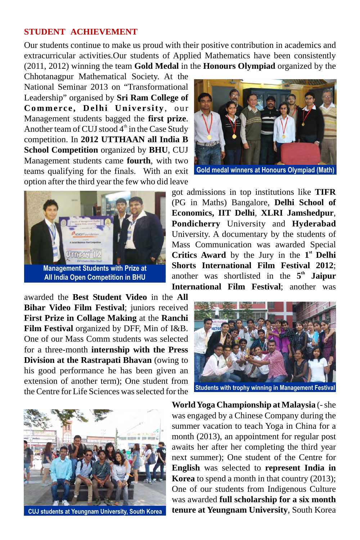#### **STUDENT ACHIEVEMENT**

Our students continue to make us proud with their positive contribution in academics and extracurricular activities.Our students of Applied Mathematics have been consistently (2011, 2012) winning the team **Gold Medal** in the **Honours Olympiad** organized by the

Chhotanagpur Mathematical Society. At the National Seminar 2013 on "Transformational Leadership" organised by **Sri Ram College of Commerce, Delhi University**, our Management students bagged the **first prize**. Another team of CUJ stood  $4<sup>th</sup>$  in the Case Study competition. In **2012 UTTHAAN all India B School Competition** organized by **BHU**, CUJ Management students came **fourth**, with two teams qualifying for the finals. With an exit option after the third year the few who did leave





got admissions in top institutions like **TIFR**  (PG in Maths) Bangalore, **Delhi School of Economics, IIT Delhi**, **XLRI Jamshedpur**, **Pondicherry** University and **Hyderabad**  University. A documentary by the students of Mass Communication was awarded Special **Critics Award** by the Jury in the  $1<sup>st</sup>$  **Delhi Shorts International Film Festival 2012**; another was shortlisted in the 5<sup>th</sup> Jaipur **International Film Festival**; another was

awarded the **Best Student Video** in the **All Bihar Video Film Festival**; juniors received **First Prize in Collage Making** at the **Ranchi Film Festival** organized by DFF, Min of I&B. One of our Mass Comm students was selected for a three-month **internship with the Press Division at the Rastrapati Bhavan** (owing to his good performance he has been given an extension of another term); One student from the Centre for Life Sciences was selected for the





**CUJ students at Yeungnam University, South Korea**

**World Yoga Championship at Malaysia** (- she was engaged by a Chinese Company during the summer vacation to teach Yoga in China for a month (2013), an appointment for regular post awaits her after her completing the third year next summer); One student of the Centre for **English** was selected to **represent India in Korea** to spend a month in that country (2013); One of our students from Indigenous Culture was awarded **full scholarship for a six month tenure at Yeungnam University**, South Korea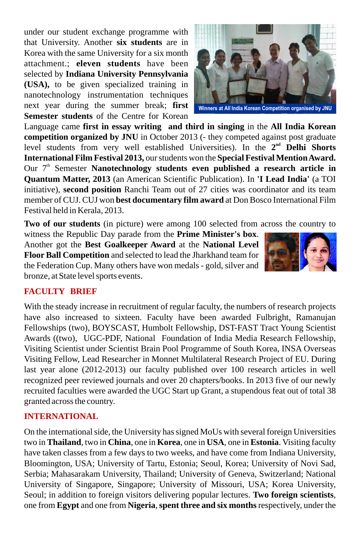under our student exchange programme with that University. Another **six students** are in Korea with the same University for a six month attachment.; **eleven students** have been selected by **Indiana University Pennsylvania (USA),** to be given specialized training in nanotechnology instrumentation techniques next year during the summer break; **first Semester students** of the Centre for Korean

Language came **first in essay writing and third in singing** in the **All India Korean competition organized by JNU** in October 2013 (- they competed against post graduate level students from very well established Universities). In the  $2<sup>nd</sup>$  **Delhi Shorts International Film Festival 2013,** our students won the **Special Festival Mention Award.**  Our 7<sup>th</sup> Semester **Nanotechnology students even published a research article in Quantum Matter, 2013** (an American Scientific Publication). In **'I Lead India'** (a TOI initiative), **second position** Ranchi Team out of 27 cities was coordinator and its team member of CUJ. CUJ won **best documentary film award** at Don Bosco International Film Festival held in Kerala, 2013.

**Two of our students** (in picture) were among 100 selected from across the country to

witness the Republic Day parade from the **Prime Minister's box**. Another got the **Best Goalkeeper Award** at the **National Level Floor Ball Competition** and selected to lead the Jharkhand team for the Federation Cup. Many others have won medals - gold, silver and bronze, at State level sports events.

# **FACULTY BRIEF**

With the steady increase in recruitment of regular faculty, the numbers of research projects have also increased to sixteen. Faculty have been awarded Fulbright, Ramanujan Fellowships (two), BOYSCAST, Humbolt Fellowship, DST-FAST Tract Young Scientist Awards ((two), UGC-PDF, National Foundation of India Media Research Fellowship, Visiting Scientist under Scientist Brain Pool Programme of South Korea, INSA Overseas Visiting Fellow, Lead Researcher in Monnet Multilateral Research Project of EU. During last year alone (2012-2013) our faculty published over 100 research articles in well recognized peer reviewed journals and over 20 chapters/books. In 2013 five of our newly recruited faculties were awarded the UGC Start up Grant, a stupendous feat out of total 38 granted across the country.

# **INTERNATIONAL**

On the international side, the University has signed MoUs with several foreign Universities two in **Thailand**, two in **China**, one in **Korea**, one in **USA**, one in **Estonia**. Visiting faculty have taken classes from a few days to two weeks, and have come from Indiana University, Bloomington, USA; University of Tartu, Estonia; Seoul, Korea; University of Novi Sad, Serbia; Mahasarakam University, Thailand; University of Geneva, Switzerland; National University of Singapore, Singapore; University of Missouri, USA; Korea University, Seoul; in addition to foreign visitors delivering popular lectures. **Two foreign scientists**, one from **Egypt** and one from **Nigeria**, **spent three and six months** respectively, under the



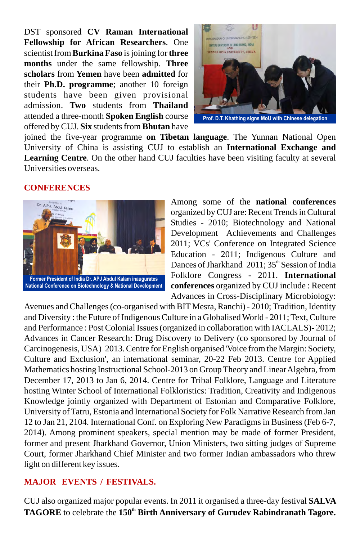DST sponsored **CV Raman International Fellowship for African Researchers**. One scientist from **Burkina Faso** is joining for **three months** under the same fellowship. **Three scholars** from **Yemen** have been **admitted** for their **Ph.D. programme**; another 10 foreign students have been given provisional admission. **Two** students from **Thailand** attended a three-month **Spoken English** course offered by CUJ. **Six** students from **Bhutan** have



**Prof. D.T. Khathing signs MoU with Chinese delegation**

joined the five-year programme **on Tibetan language**. The Yunnan National Open University of China is assisting CUJ to establish an **International Exchange and Learning Centre**. On the other hand CUJ faculties have been visiting faculty at several Universities overseas.

#### **CONFERENCES**



Among some of the **national conferences** organized by CUJ are: Recent Trends in Cultural Studies - 2010; Biotechnology and National Development Achievements and Challenges 2011; VCs' Conference on Integrated Science Education - 2011; Indigenous Culture and Dances of Jharkhand  $2011$ ;  $35<sup>th</sup>$  Session of India Folklore Congress - 2011. **International conferences** organized by CUJ include : Recent Advances in Cross-Disciplinary Microbiology:

Avenues and Challenges (co-organised with BIT Mesra, Ranchi) - 2010; Tradition, Identity and Diversity : the Future of Indigenous Culture in a Globalised World - 2011; Text, Culture and Performance : Post Colonial Issues (organized in collaboration with IACLALS)- 2012; Advances in Cancer Research: Drug Discovery to Delivery (co sponsored by Journal of Carcinogenesis, USA) 2013. Centre for English organised 'Voice from the Margin: Society, Culture and Exclusion', an international seminar, 20-22 Feb 2013. Centre for Applied Mathematics hosting Instructional School-2013 on Group Theory and Linear Algebra, from December 17, 2013 to Jan 6, 2014. Centre for Tribal Folklore, Language and Literature hosting Winter School of International Folkloristics: Tradition, Creativity and Indigenous Knowledge jointly organized with Department of Estonian and Comparative Folklore, University of Tatru, Estonia and International Society for Folk Narrative Research from Jan 12 to Jan 21, 2104. International Conf. on Exploring New Paradigms in Business (Feb 6-7, 2014). Among prominent speakers, special mention may be made of former President, former and present Jharkhand Governor, Union Ministers, two sitting judges of Supreme Court, former Jharkhand Chief Minister and two former Indian ambassadors who threw light on different key issues.

#### **MAJOR EVENTS / FESTIVALS.**

CUJ also organized major popular events. In 2011 it organised a three-day festival **SALVA TAGORE** to celebrate the 150<sup>th</sup> Birth Anniversary of Gurudev Rabindranath Tagore.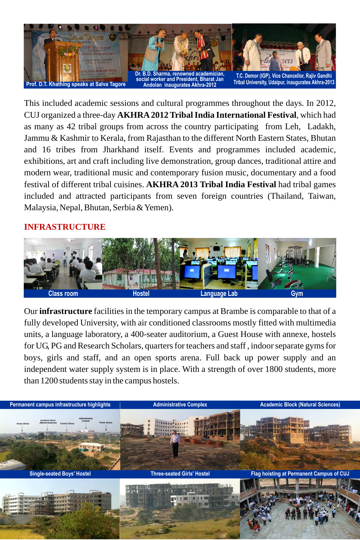

This included academic sessions and cultural programmes throughout the days. In 2012, CUJ organized a three-day **AKHRA 2012 TribalIndia International Festival**, which had as many as 42 tribal groups from across the country participating from Leh, Ladakh, Jammu & Kashmir to Kerala, from Rajasthan to the different North Eastern States, Bhutan and 16 tribes from Jharkhand itself. Events and programmes included academic, exhibitions, art and craft including live demonstration, group dances, traditional attire and modern wear, traditional music and contemporary fusion music, documentary and a food festival of different tribal cuisines. **AKHRA 2013 Tribal India Festival** had tribal games included and attracted participants from seven foreign countries (Thailand, Taiwan, Malaysia, Nepal, Bhutan, Serbia & Yemen).

## **INFRASTRUCTURE**



Our **infrastructure** facilities in the temporary campus at Brambe is comparable to that of a fully developed University, with air conditioned classrooms mostly fitted with multimedia units, a language laboratory, a 400-seater auditorium, a Guest House with annexe, hostels for UG, PG and Research Scholars, quarters for teachers and staff , indoor separate gyms for boys, girls and staff, and an open sports arena. Full back up power supply and an independent water supply system is in place. With a strength of over 1800 students, more than 1200 students stay in the campus hostels.